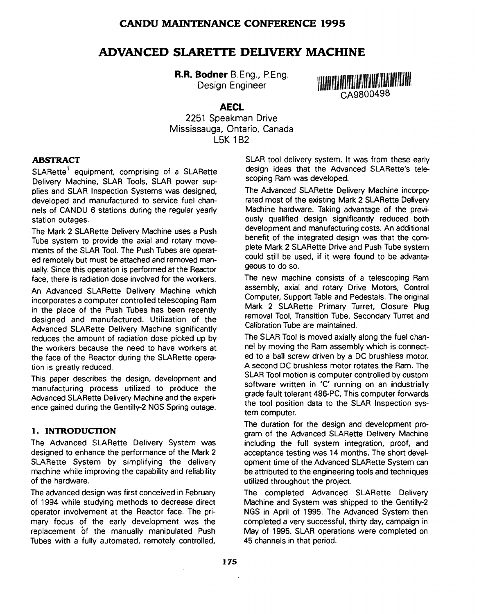# **ADVANCED SLARETTE DELIVERY MACHINE**

**R.R. Bodner** B.Eng., P.Eng. Design Engineer



# **AECL**

2251 Speakman Drive Mississauga, Ontario, Canada L5K 1B2

# **ABSTRACT**

SLARette<sup>1</sup> equipment, comprising of a SLARette Delivery Machine, SLAR Tools, SLAR power supplies and SLAR Inspection Systems was designed, developed and manufactured to service fuel channels of CANDU 6 stations during the regular yearly station outages.

The Mark 2 SLARette Delivery Machine uses a Push Tube system to provide the axial and rotary movements of the SLAR Tool. The Push Tubes are operated remotely but must be attached and removed manually. Since this operation is performed at the Reactor face, there is radiation dose involved for the workers.

An Advanced SLARette Delivery Machine which incorporates a computer controlled telescoping Ram in the place of the Push Tubes has been recently designed and manufactured. Utilization of the Advanced SLARette Delivery Machine significantly reduces the amount of radiation dose picked up by the workers because the need to have workers at the face of the Reactor during the SLARette operation is greatly reduced.

This paper describes the design, development and manufacturing process utilized to produce the Advanced SLARette Delivery Machine and the experience gained during the Gentilly-2 NGS Spring outage.

#### **1. INTRODUCTION**

The Advanced SLARette Delivery System was designed to enhance the performance of the Mark 2 SLARette System by simplifying the delivery machine while improving the capability and reliability of the hardware.

The advanced design was first conceived in February of 1994 while studying methods to decrease direct operator involvement at the Reactor face. The primary focus of the early development was the replacement of the manually manipulated Push Tubes with a fully automated, remotely controlled, SLAR tool delivery system. It was from these early design ideas that the Advanced SLARette's telescoping Ram was developed.

The Advanced SLARette Delivery Machine incorporated most of the existing Mark 2 SLARette Delivery Machine hardware. Taking advantage of the previously qualified design significantly reduced both development and manufacturing costs. An additional benefit of the integrated design was that the complete Mark 2 SLARette Drive and Push Tube system could still be used, if it were found to be advantageous to do so.

The new machine consists of a telescoping Ram assembly, axial and rotary Drive Motors, Control Computer, Support Table and Pedestals. The original Mark 2 SLARette Primary Turret, Closure Plug removal Tool, Transition Tube, Secondary Turret and Calibration Tube are maintained.

The SLAR Tool is moved axially along the fuel channel by moving the Ram assembly which is connected to a ball screw driven by a DC brushless motor. A second DC brushless motor rotates the Ram. The SLAR Tool motion is computer controlled by custom software written in 'C' running on an industrially grade fault tolerant 486-PC. This computer forwards the tool position data to the SLAR Inspection system computer.

The duration for the design and development program of the Advanced SLARette Delivery Machine including the full system integration, proof, and acceptance testing was 14 months. The short development time of the Advanced SLARette System can be attributed to the engineering tools and techniques utilized throughout the project.

The completed Advanced SLARette Delivery Machine and System was shipped to the Gentilly-2 NGS in April of 1995. The Advanced System then completed a very successful, thirty day, campaign in May of 1995. SLAR operations were completed on 45 channels in that period.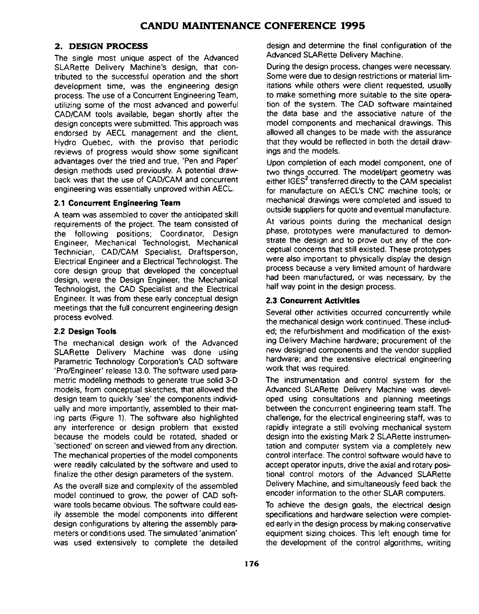#### **2. DESIGN PROCESS**

The single most unique aspect of the Advanced SLARette Delivery Machine's design, that contributed to the successful operation and the short development time, was the engineering design process. The use of a Concurrent Engineering Team, utilizing some of the most advanced and powerful CAD/CAM tools available, began shortly after the design concepts were submitted. This approach was endorsed by AECL management and the client. Hydro Quebec, with the proviso that periodic reviews of progress would show some significant advantages over the tried and true, 'Pen and Paper' design methods used previously. A potential drawback was that the use of CAD/CAM and concurrent engineering was essentially unproved within AECL.

#### **2.1 Concurrent Engineering Team**

A team was assembled to cover the anticipated skill requirements of the project. The team consisted of the following positions; Coordinator, Design Engineer, Mechanical Technologist, Mechanical Technician, CAD/CAM Specialist, Draftsperson, Electrical Engineer and a Electrical Technologist. The core design group that developed the conceptual design, were the Design Engineer, the Mechanical Technologist, the CAD Specialist and the Electrical Engineer. It was from these early conceptual design meetings that the full concurrent engineering design process evolved.

#### **2.2 Design Tools**

The mechanical design work of the Advanced SLARette Delivery Machine was done using Parametric Technology Corporation's CAD software 'Pro/Engineer' release 13.0. The software used parametric modeling methods to generate true solid 3-D models, from conceptual sketches, that allowed the design team to quickly 'see' the components individually and more importantly, assembled to their mating parts (Figure 1). The software also highlighted any interference or design problem that existed because the models could be rotated, shaded or 'sectioned' on screen and viewed from any direction. The mechanical properties of the model components were readily calculated by the software and used to finalize the other design parameters of the system.

As the overall size and complexity of the assembled model continued to grow, the power of CAD software tools became obvious. The software could easily assemble the model components into different design configurations by altering the assembly parameters or conditions used. The simulated 'animation' was used extensively to complete the detailed design and determine the final configuration of the Advanced SLARette Delivery Machine.

During the design process, changes were necessary. Some were due to design restrictions or material limitations while others were client requested, usually to make something more suitable to the site operation of the system. The CAD software maintained the data base and the associative nature of the model components and mechanical drawings. This allowed all changes to be made with the assurance that they would be reflected in both the detail drawings and the models.

Upon completion of each model component, one of two things occurred. The model/part geometry was either IGES<sup>2</sup> transferred directly to the CAM specialist for manufacture on AECL's CNC machine tools; or mechanical drawings were completed and issued to outside suppliers for quote and eventual manufacture.

At various points during the mechanical design phase, prototypes were manufactured to demonstrate the design and to prove out any of the conceptual concerns that still existed. These prototypes were also important to physically display the design process because a very limited amount of hardware had been manufactured, or was necessary, by the half way point in the design process.

#### **2.3 Concurrent Activities**

Several other activities occurred concurrently while the mechanical design work continued. These included; the refurbishment and modification of the existing Delivery Machine hardware; procurement of the new designed components and the vendor supplied hardware; and the extensive electrical engineering work that was required.

The instrumentation and control system for the Advanced SLARette Delivery Machine was developed using consultations and planning meetings between the concurrent engineering team staff. The challenge, for the electrical engineering staff, was to rapidly integrate a still evolving mechanical system design into the existing Mark 2 SLARette instrumentation and computer system via a completely new control interface. The control software would have to accept operator inputs, drive the axial and rotary positional control motors of the Advanced SLARette Delivery Machine, and simultaneously feed back the encoder information to the other SLAR computers.

To achieve the design goals, the electrical design specifications and hardware selection were completed early in the design process by making conservative equipment sizing choices. This left enough time for the development of the control algorithms, writing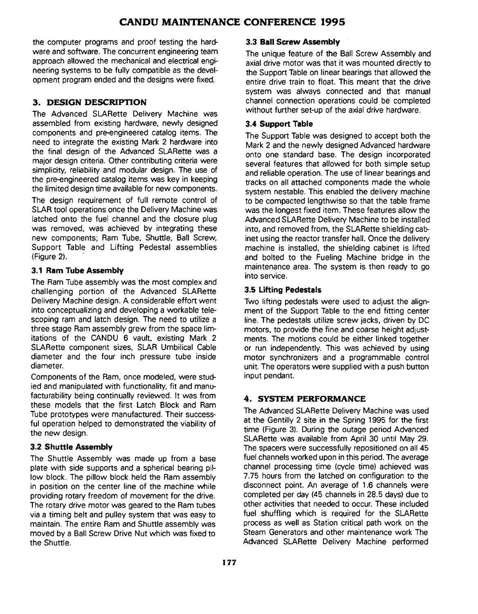# **CANDU MAINTENANCE CONFERENCE 1995**

the computer programs and proof testing the hardware and software. The concurrent engineering team approach allowed the mechanical and electrical engineering systems to be fully compatible as the development program ended and the designs were fixed.

### **3 . DESIGN DESCRIPTION**

The Advanced SLARette Delivery Machine was assembled from existing hardware, newly designed components and pre-engineered catalog items. The need to integrate the existing Mark 2 hardware into the final design of the Advanced SLARette was a major design criteria. Other contributing criteria were simplicity, reliability and modular design. The use of the pre-engineered catalog items was key in keeping the limited design time available for new components.

The design requirement of full remote control of SLAR tool operations once the Delivery Machine was latched onto the fuel channel and the closure plug was removed, was achieved by integrating these new components; Ram Tube, Shuttle, Ball Screw, Support Table and Lifting Pedestal assemblies (Figure 2).

#### **3.1 Ram Tube Assembly**

The Ram Tube assembly was the most complex and challenging portion of the Advanced SLARette Delivery Machine design. A considerable effort went into conceptualizing and developing a workable telescoping ram and latch design. The need to utilize a three stage Ram assembly grew from the space limitations of the CANDU 6 vault, existing Mark 2 SLARette component sizes, SLAR Umbilical Cable diameter and the four inch pressure tube inside diameter.

Components of the Ram, once modeled, were studied and manipulated with functionality, fit and manufacturability being continually reviewed. It was from these models that the first Latch Block and Ram Tube prototypes were manufactured. Their successful operation helped to demonstrated the viability of the new design.

#### **3.2 Shuttle Assembly**

The Shuttle Assembly was made up from a base plate with side supports and a spherical bearing pillow block. The pillow block held the Ram assembly in position on the center line of the machine while providing rotary freedom of movement for the drive. The rotary drive motor was geared to the Ram tubes via a timing belt and pulley system that was easy to maintain. The entire Ram and Shuttle assembly was moved by a Ball Screw Drive Nut which was fixed to the Shuttle.

#### **3.3 Ball Screw Assembly**

The unique feature of the Ball Screw Assembly and axial drive motor was that it was mounted directly to the Support Table on linear bearings that allowed the entire drive train to float. This meant that the drive system was always connected and that manual channel connection operations could be completed without further set-up of the axial drive hardware.

#### **3.4 Support Table**

The Support Table was designed to accept both the Mark 2 and the newly designed Advanced hardware onto one standard base. The design incorporated several features that allowed for both simple setup and reliable operation. The use of linear bearings and tracks on all attached components made the whole system nestable. This enabled the delivery machine to be compacted lengthwise so that the table frame was the longest fixed item. These features allow the Advanced SLARette Delivery Machine to be installed into, and removed from, the SLARette shielding cabinet using the reactor transfer hall. Once the delivery machine is installed, the shielding cabinet is lifted and bolted to the Fueling Machine bridge in the maintenance area. The system is then ready to go into service.

#### **3.5 Lifting Pedestals**

Two lifting pedestals were used to adjust the alignment of the Support Table to the end fitting center line. The pedestals utilize screw jacks, driven by DC motors, to provide the fine and coarse height adjustments. The motions could be either linked together or run independently. This was achieved by using motor synchronizers and a programmable control unit. The operators were supplied with a push button input pendant.

#### **4. SYSTEM PERFORMANCE**

The Advanced SLARette Delivery Machine was used at the Gentilly 2 site in the Spring 1995 for the first time (Figure 3). During the outage period Advanced SLARette was available from April 30 until May 29. The spacers were successfully repositioned on all 45 fuel channels worked upon in this period. The average channel processing time (cycle time) achieved was 7.75 hours from the latched on configuration to the disconnect point. An average of 1.6 channels were completed per day (45 channels in 28.5 days) due to other activities that needed to occur. These included fuel shuffling which is required for the SLARette process as well as Station critical path work on the Steam Generators and other maintenance work The Advanced SLARette Delivery Machine performed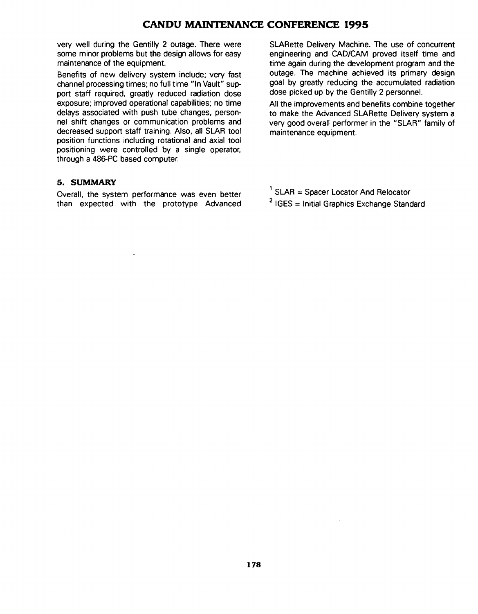### **CANDU MAINTENANCE CONFERENCE 1995**

very well during the Gentilly 2 outage. There were some minor problems but the design allows for easy maintenance of the equipment.

Benefits of new delivery system include; very fast channel processing times; no full time "In Vault" support staff required, greatly reduced radiation dose exposure; improved operational capabilities; no time delays associated with push tube changes, personnel shift changes or communication problems and decreased support staff training. Also, all SLAR tool position functions including rotational and axial tool positioning were controlled by a single operator, through a 486-PC based computer.

#### **5. SUMMARY**

Overall, the system performance was even better than expected with the prototype Advanced SLARette Delivery Machine. The use of concurrent engineering and CAD/CAM proved itself time and time again during the development program and the outage. The machine achieved its primary design goal by greatly reducing the accumulated radiation dose picked up by the Gentilly 2 personnel.

All the improvements and benefits combine together to make the Advanced SLARette Delivery system a very good overall performer in the "SLAR" family of maintenance equipment.

- 1 SLAR = Spacer Locator And Relocator
- <sup>2</sup> IGES = Initial Graphics Exchange Standard